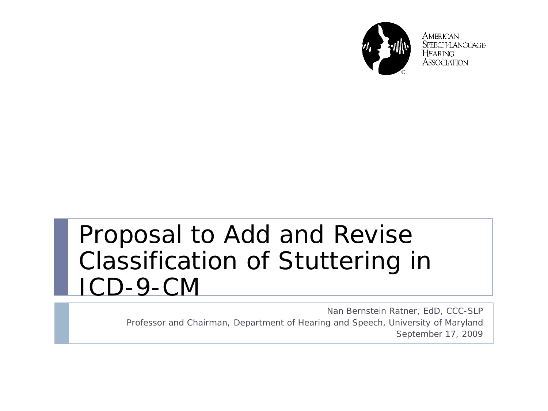

**AMERICAN** SPEECH-LANGUAGE-Hearing ASSOCIATION

#### Proposal to Add and Revise Classification of Stuttering in ICD-9-CM

Nan Bernstein Ratner, EdD, CCC-SLP Professor and Chairman, Department of Hearing and Speech, University of Maryland September 17, 2009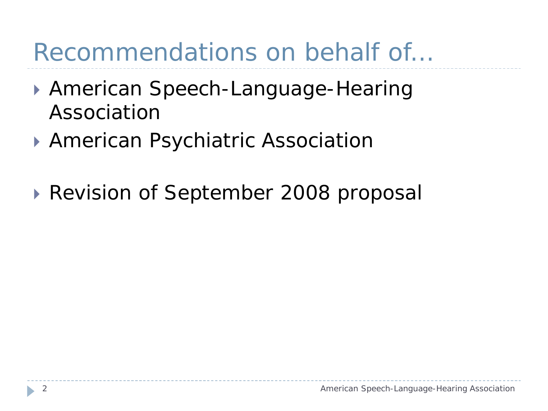## Recommendations on behalf of…

- American Speech-Language-Hearing Association
- ▶ American Psychiatric Association
- Revision of September 2008 proposal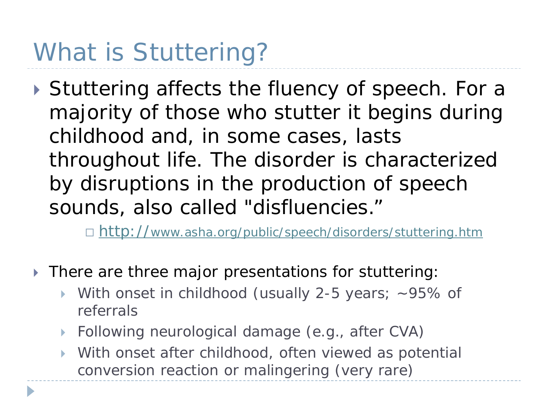# What is Stuttering?

▶ Stuttering affects the fluency of speech. For a majority of those who stutter it begins during childhood and, in some cases, lasts throughout life. The disorder is characterized by disruptions in the production of speech sounds, also called "disfluencies."

□ <http://www.asha.org/public/speech/disorders/stuttering.htm>

- There are three major presentations for stuttering:
	- With onset in childhood (usually 2-5 years; ~95% of referrals
	- ▶ Following neurological damage (e.g., after CVA)
	- With onset after childhood, often viewed as potential conversion reaction or malingering (very rare)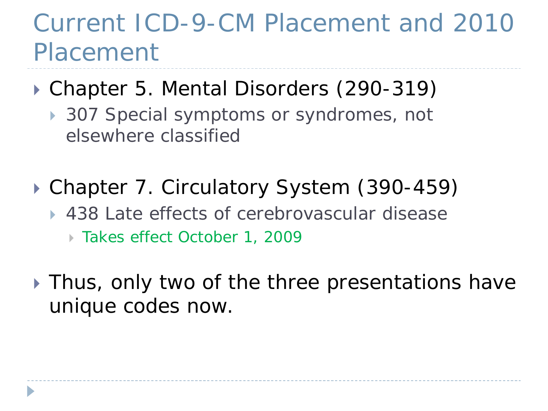### Current ICD-9-CM Placement and 2010 Placement

#### Chapter 5. Mental Disorders (290-319)

- ▶ 307 Special symptoms or syndromes, not elsewhere classified
- ▶ Chapter 7. Circulatory System (390-459)
	- ▶ 438 Late effects of cerebrovascular disease
		- Takes effect October 1, 2009
- ▶ Thus, only two of the three presentations have unique codes now.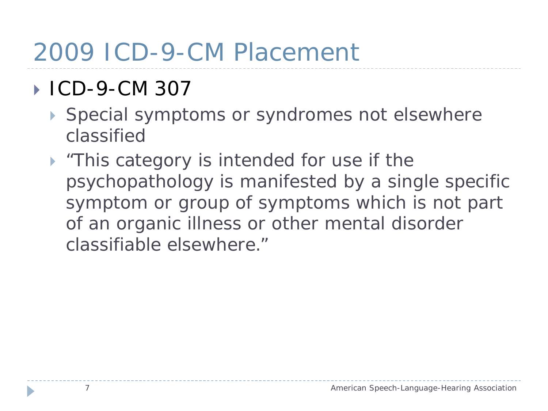### 2009 ICD-9-CM Placement

#### ■ ICD-9-CM 307

- ▶ Special symptoms or syndromes not elsewhere classified
- **Fig.** This category is intended for use if the psychopathology is manifested by a single specific symptom or group of symptoms which is not part of an organic illness or other mental disorder classifiable elsewhere."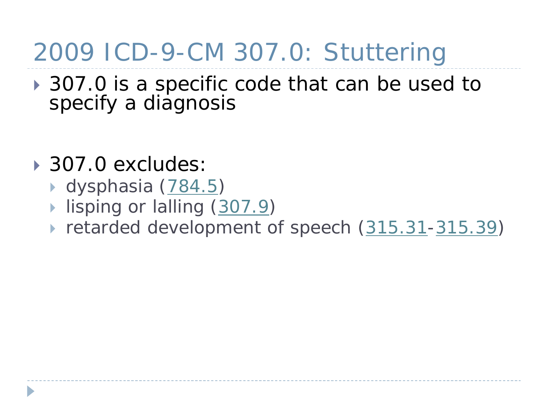## 2009 ICD-9-CM 307.0: Stuttering

- **307.0 is a specific code that can be used to** specify a diagnosis
- 307.0 excludes:
	- ▶ dysphasia ([784.5\)](http://www.icd9data.com/2008/Volume1/780-799/780-789/784/784.5.htm)
	- lisping or lalling ([307.9\)](http://www.icd9data.com/2008/Volume1/290-319/300-316/307/307.9.htm)
	- retarded development of speech [\(315.31](http://www.icd9data.com/2008/Volume1/290-319/300-316/315/315.31.htm)[-315.39](http://www.icd9data.com/2008/Volume1/290-319/300-316/315/315.39.htm))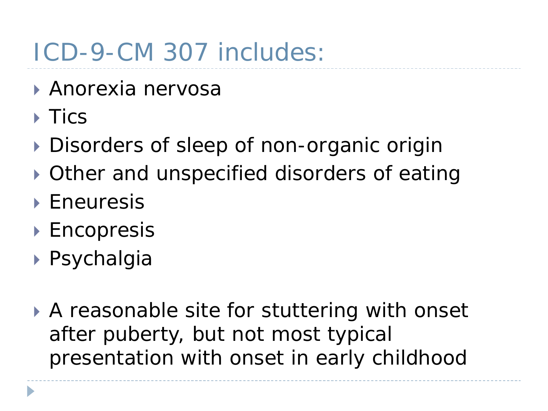## ICD-9-CM 307 includes:

- Anorexia nervosa
- $\triangleright$  Tics
- Disorders of sleep of non-organic origin
- Other and unspecified disorders of eating
- ▶ Eneuresis
- ▶ Encopresis
- Psychalgia
- A reasonable site for stuttering with onset after puberty, but not most typical presentation with onset in early childhood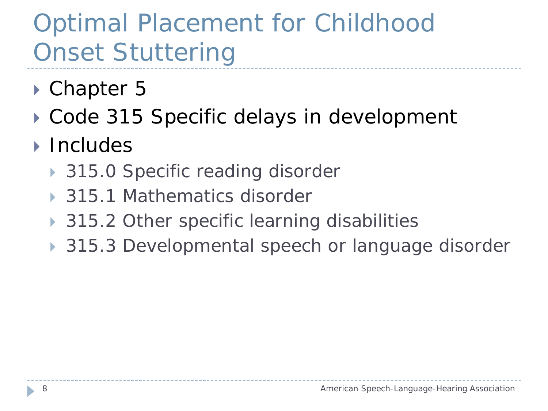# Optimal Placement for Childhood Onset Stuttering

- ▶ Chapter 5
- ▶ Code 315 Specific delays in development
- **Includes** 
	- ▶ 315.0 Specific reading disorder
	- ▶ 315.1 Mathematics disorder
	- ▶ 315.2 Other specific learning disabilities
	- ▶ 315.3 Developmental speech or language disorder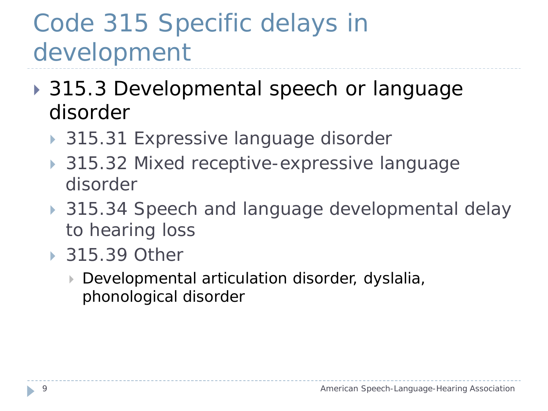## Code 315 Specific delays in development

- ▶ 315.3 Developmental speech or language disorder
	- ▶ 315.31 Expressive language disorder
	- ▶ 315.32 Mixed receptive-expressive language disorder
	- ▶ 315.34 Speech and language developmental delay to hearing loss
	- ▶ 315.39 Other
		- Developmental articulation disorder, dyslalia, phonological disorder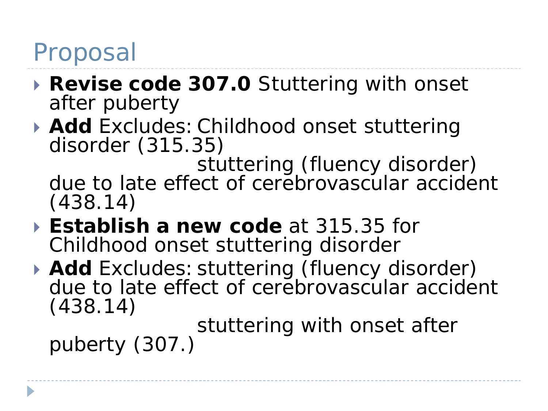#### Proposal

- **Revise code 307.0** Stuttering with onset after puberty
- **Add** *Excludes*:Childhood onset stuttering disorder (315.35)

stuttering (fluency disorder) due to late effect of cerebrovascular accident (438.14)

- **Establish a new code** at 315.35 for Childhood onset stuttering disorder
- **Add** *Excludes:*stuttering (fluency disorder) due to late effect of cerebrovascular accident (438.14)

stuttering with onset after<br>puberty (307.)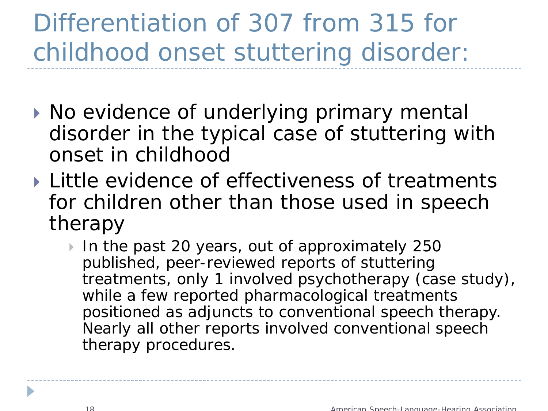# Differentiation of 307 from 315 for childhood onset stuttering disorder:

- ▶ No evidence of underlying primary mental disorder in the typical case of stuttering with onset in childhood
- ▶ Little evidence of effectiveness of treatments for children other than those used in speech therapy
	- In the past 20 years, out of approximately 250 published, peer-reviewed reports of stuttering treatments, only 1 involved psychotherapy (case study), while a few reported pharmacological treatments positioned as adjuncts to conventional speech therapy. Nearly all other reports involved conventional speech therapy procedures.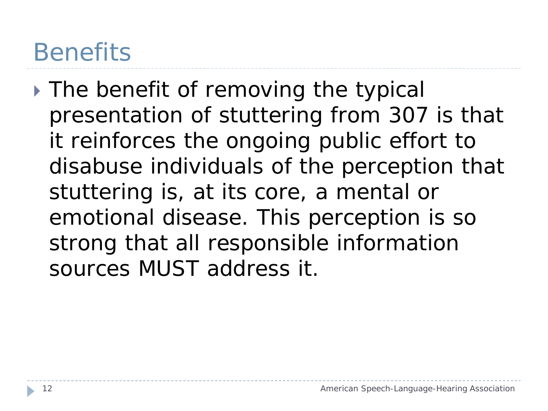### **Benefits**

If The benefit of removing the typical presentation of stuttering from 307 is that it reinforces the ongoing public effort to disabuse individuals of the perception that stuttering is, at its core, a mental or emotional disease. This perception is so strong that all responsible information sources MUST address it.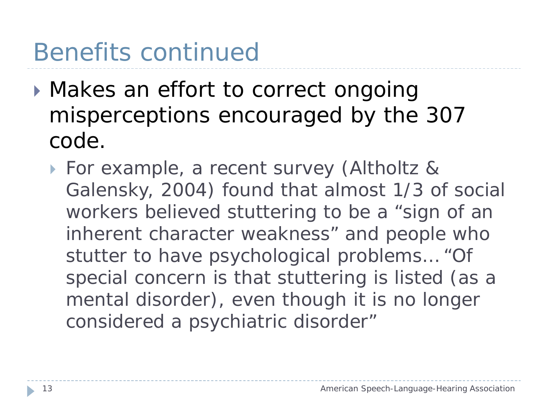## Benefits continued

- **Makes an effort to correct ongoing** misperceptions encouraged by the 307 code.
	- For example, a recent survey (Altholtz & Galensky, 2004) found that almost 1/3 of social workers believed stuttering to be a "sign of an inherent character weakness" and people who stutter to have psychological problems… "Of special concern is that stuttering is listed (as a mental disorder), even though it is no longer considered a psychiatric disorder"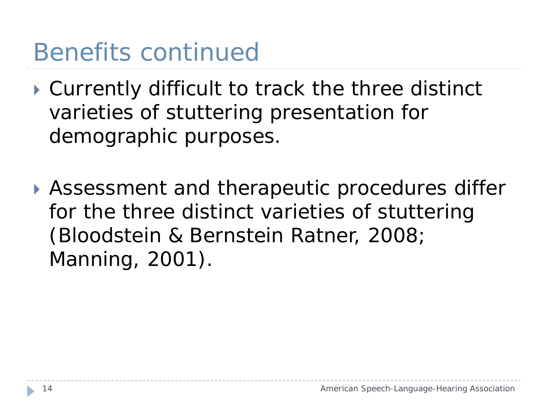## Benefits continued

- Currently difficult to track the three distinct varieties of stuttering presentation for demographic purposes.
- Assessment and therapeutic procedures differ for the three distinct varieties of stuttering (Bloodstein & Bernstein Ratner, 2008; Manning, 2001).